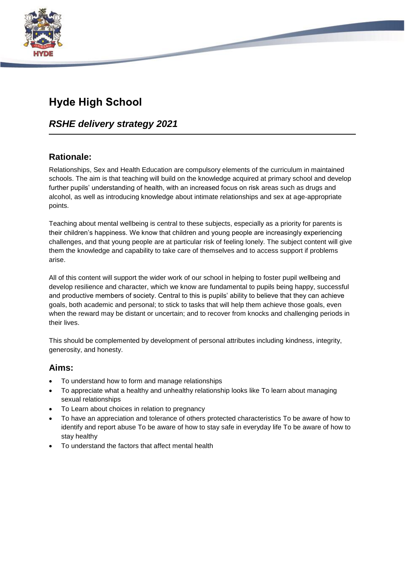

# **Hyde High School**

## *RSHE delivery strategy 2021*

## **Rationale:**

Relationships, Sex and Health Education are compulsory elements of the curriculum in maintained schools. The aim is that teaching will build on the knowledge acquired at primary school and develop further pupils' understanding of health, with an increased focus on risk areas such as drugs and alcohol, as well as introducing knowledge about intimate relationships and sex at age-appropriate points.

Teaching about mental wellbeing is central to these subjects, especially as a priority for parents is their children's happiness. We know that children and young people are increasingly experiencing challenges, and that young people are at particular risk of feeling lonely. The subject content will give them the knowledge and capability to take care of themselves and to access support if problems arise.

All of this content will support the wider work of our school in helping to foster pupil wellbeing and develop resilience and character, which we know are fundamental to pupils being happy, successful and productive members of society. Central to this is pupils' ability to believe that they can achieve goals, both academic and personal; to stick to tasks that will help them achieve those goals, even when the reward may be distant or uncertain; and to recover from knocks and challenging periods in their lives.

This should be complemented by development of personal attributes including kindness, integrity, generosity, and honesty.

## **Aims:**

- To understand how to form and manage relationships
- To appreciate what a healthy and unhealthy relationship looks like To learn about managing sexual relationships
- To Learn about choices in relation to pregnancy
- To have an appreciation and tolerance of others protected characteristics To be aware of how to identify and report abuse To be aware of how to stay safe in everyday life To be aware of how to stay healthy
- To understand the factors that affect mental health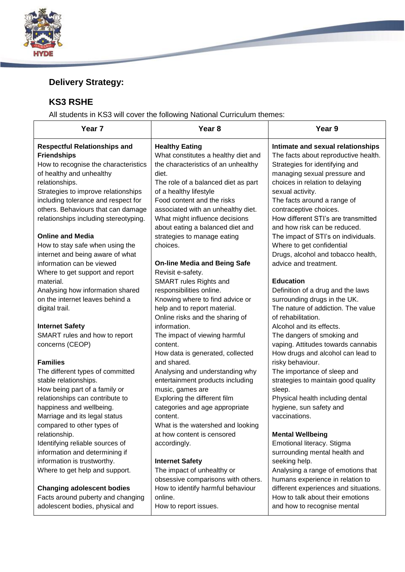

# **Delivery Strategy:**

## **KS3 RSHE**

All students in KS3 will cover the following National Curriculum themes:

**State of the Contract of the Contract of the Contract of the Contract of the Contract of the Contract of the Contract of the Contract of the Contract of the Contract of the Contract of the Contract of the Contract of the** 

| Year 7                                                                                                                                                                                                                                                                                                                                                                                                                                                                         | Year <sub>8</sub>                                                                                                                                                                                                                                                                                                                                                                                                                     | Year 9                                                                                                                                                                                                                                                                                                                                                                                                                                                                     |
|--------------------------------------------------------------------------------------------------------------------------------------------------------------------------------------------------------------------------------------------------------------------------------------------------------------------------------------------------------------------------------------------------------------------------------------------------------------------------------|---------------------------------------------------------------------------------------------------------------------------------------------------------------------------------------------------------------------------------------------------------------------------------------------------------------------------------------------------------------------------------------------------------------------------------------|----------------------------------------------------------------------------------------------------------------------------------------------------------------------------------------------------------------------------------------------------------------------------------------------------------------------------------------------------------------------------------------------------------------------------------------------------------------------------|
| <b>Respectful Relationships and</b><br><b>Friendships</b><br>How to recognise the characteristics<br>of healthy and unhealthy<br>relationships.<br>Strategies to improve relationships<br>including tolerance and respect for<br>others. Behaviours that can damage<br>relationships including stereotyping.<br><b>Online and Media</b><br>How to stay safe when using the<br>internet and being aware of what<br>information can be viewed<br>Where to get support and report | <b>Healthy Eating</b><br>What constitutes a healthy diet and<br>the characteristics of an unhealthy<br>diet.<br>The role of a balanced diet as part<br>of a healthy lifestyle<br>Food content and the risks<br>associated with an unhealthy diet.<br>What might influence decisions<br>about eating a balanced diet and<br>strategies to manage eating<br>choices.<br><b>On-line Media and Being Safe</b><br>Revisit e-safety.        | Intimate and sexual relationships<br>The facts about reproductive health.<br>Strategies for identifying and<br>managing sexual pressure and<br>choices in relation to delaying<br>sexual activity.<br>The facts around a range of<br>contraceptive choices.<br>How different STI's are transmitted<br>and how risk can be reduced.<br>The impact of STI's on individuals.<br>Where to get confidential<br>Drugs, alcohol and tobacco health,<br>advice and treatment.      |
| material.<br>Analysing how information shared<br>on the internet leaves behind a<br>digital trail.<br><b>Internet Safety</b><br>SMART rules and how to report<br>concerns (CEOP)<br><b>Families</b><br>The different types of committed<br>stable relationships.<br>How being part of a family or<br>relationships can contribute to<br>happiness and wellbeing.                                                                                                               | SMART rules Rights and<br>responsibilities online.<br>Knowing where to find advice or<br>help and to report material.<br>Online risks and the sharing of<br>information.<br>The impact of viewing harmful<br>content.<br>How data is generated, collected<br>and shared.<br>Analysing and understanding why<br>entertainment products including<br>music, games are<br>Exploring the different film<br>categories and age appropriate | <b>Education</b><br>Definition of a drug and the laws<br>surrounding drugs in the UK.<br>The nature of addiction. The value<br>of rehabilitation.<br>Alcohol and its effects.<br>The dangers of smoking and<br>vaping. Attitudes towards cannabis<br>How drugs and alcohol can lead to<br>risky behaviour.<br>The importance of sleep and<br>strategies to maintain good quality<br>sleep.<br>Physical health including dental<br>hygiene, sun safety and<br>vaccinations. |
| Marriage and its legal status<br>compared to other types of<br>relationship.<br>Identifying reliable sources of<br>information and determining if<br>information is trustworthy.<br>Where to get help and support.<br><b>Changing adolescent bodies</b><br>Facts around puberty and changing<br>adolescent bodies, physical and                                                                                                                                                | content.<br>What is the watershed and looking<br>at how content is censored<br>accordingly.<br><b>Internet Safety</b><br>The impact of unhealthy or<br>obsessive comparisons with others.<br>How to identify harmful behaviour<br>online.<br>How to report issues.                                                                                                                                                                    | <b>Mental Wellbeing</b><br>Emotional literacy. Stigma<br>surrounding mental health and<br>seeking help.<br>Analysing a range of emotions that<br>humans experience in relation to<br>different experiences and situations.<br>How to talk about their emotions<br>and how to recognise mental                                                                                                                                                                              |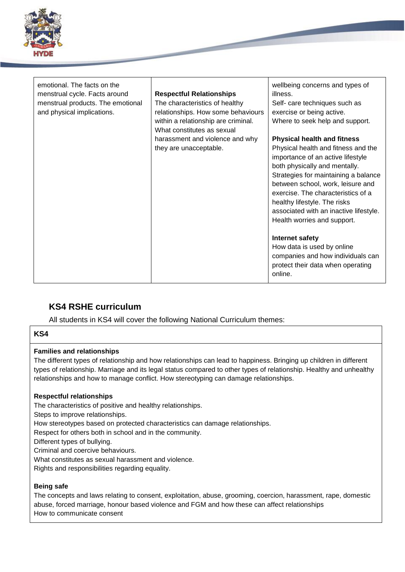| <b>HYDE</b>                                                                                                                     |                                                                                                                                                |                                                                                                                                                                                                                                                                                                                                                                             |  |  |
|---------------------------------------------------------------------------------------------------------------------------------|------------------------------------------------------------------------------------------------------------------------------------------------|-----------------------------------------------------------------------------------------------------------------------------------------------------------------------------------------------------------------------------------------------------------------------------------------------------------------------------------------------------------------------------|--|--|
| emotional. The facts on the<br>menstrual cycle. Facts around<br>menstrual products. The emotional<br>and physical implications. | <b>Respectful Relationships</b><br>The characteristics of healthy<br>relationships. How some behaviours<br>within a relationship are criminal. | wellbeing concerns and types of<br>illness.<br>Self- care techniques such as<br>exercise or being active.<br>Where to seek help and support.                                                                                                                                                                                                                                |  |  |
|                                                                                                                                 | What constitutes as sexual<br>harassment and violence and why<br>they are unacceptable.                                                        | <b>Physical health and fitness</b><br>Physical health and fitness and the<br>importance of an active lifestyle<br>both physically and mentally.<br>Strategies for maintaining a balance<br>between school, work, leisure and<br>exercise. The characteristics of a<br>healthy lifestyle. The risks<br>associated with an inactive lifestyle.<br>Health worries and support. |  |  |
|                                                                                                                                 |                                                                                                                                                | Internet safety<br>How data is used by online<br>companies and how individuals can<br>protect their data when operating<br>online.                                                                                                                                                                                                                                          |  |  |

## **KS4 RSHE curriculum**

All students in KS4 will cover the following National Curriculum themes:

#### **KS4**

#### **Families and relationships**

The different types of relationship and how relationships can lead to happiness. Bringing up children in different types of relationship. Marriage and its legal status compared to other types of relationship. Healthy and unhealthy relationships and how to manage conflict. How stereotyping can damage relationships.

#### **Respectful relationships**

The characteristics of positive and healthy relationships.

Steps to improve relationships.

How stereotypes based on protected characteristics can damage relationships.

Respect for others both in school and in the community.

Different types of bullying.

Criminal and coercive behaviours.

What constitutes as sexual harassment and violence.

Rights and responsibilities regarding equality.

#### **Being safe**

The concepts and laws relating to consent, exploitation, abuse, grooming, coercion, harassment, rape, domestic abuse, forced marriage, honour based violence and FGM and how these can affect relationships How to communicate consent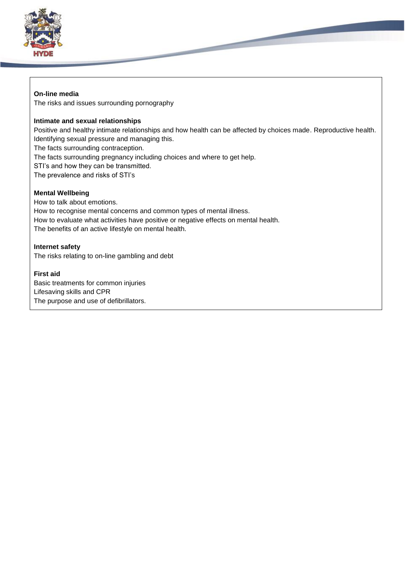

#### **On-line media**

The risks and issues surrounding pornography

#### **Intimate and sexual relationships**

Positive and healthy intimate relationships and how health can be affected by choices made. Reproductive health. Identifying sexual pressure and managing this.

The facts surrounding contraception.

The facts surrounding pregnancy including choices and where to get help.

STI's and how they can be transmitted.

The prevalence and risks of STI's

## **Mental Wellbeing**

How to talk about emotions. How to recognise mental concerns and common types of mental illness. How to evaluate what activities have positive or negative effects on mental health. The benefits of an active lifestyle on mental health.

## **Internet safety**

The risks relating to on-line gambling and debt

## **First aid**

Basic treatments for common injuries Lifesaving skills and CPR The purpose and use of defibrillators.